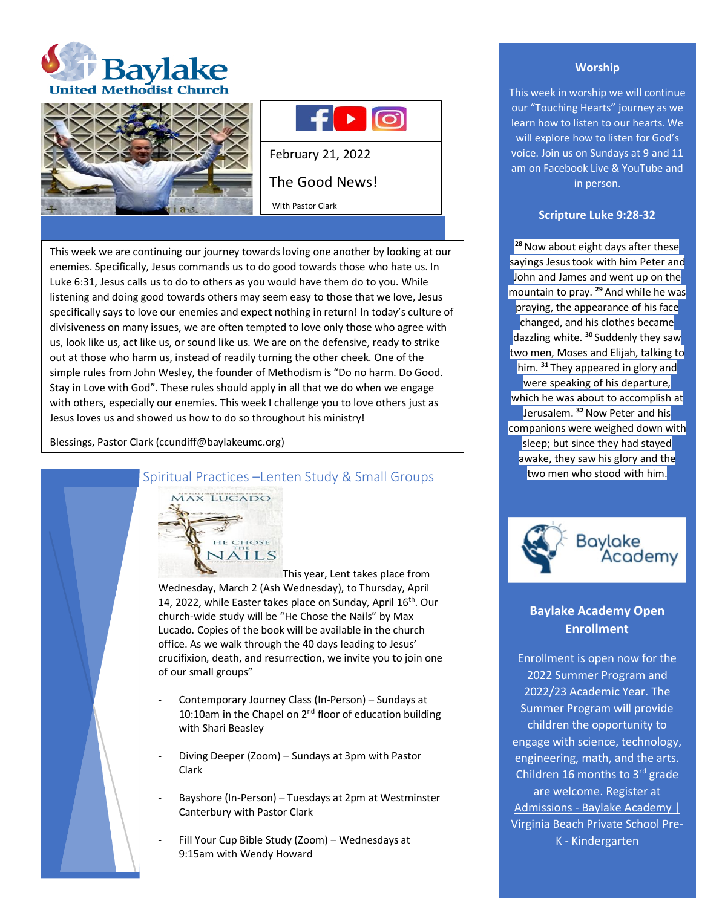





February 21, 2022 The Good News! With Pastor Clark

This week we are continuing our journey towards loving one another by looking at our enemies. Specifically, Jesus commands us to do good towards those who hate us. In Luke 6:31, Jesus calls us to do to others as you would have them do to you. While listening and doing good towards others may seem easy to those that we love, Jesus specifically says to love our enemies and expect nothing in return! In today's culture of divisiveness on many issues, we are often tempted to love only those who agree with us, look like us, act like us, or sound like us. We are on the defensive, ready to strike out at those who harm us, instead of readily turning the other cheek. One of the simple rules from John Wesley, the founder of Methodism is "Do no harm. Do Good. Stay in Love with God". These rules should apply in all that we do when we engage with others, especially our enemies. This week I challenge you to love others just as Jesus loves us and showed us how to do so throughout his ministry!

Blessings, Pastor Clark (ccundiff@baylakeumc.org)



Spiritual Practices –Lenten Study & Small Groups

This year, Lent takes place from Wednesday, March 2 (Ash Wednesday), to Thursday, April 14, 2022, while Easter takes place on Sunday, April 16<sup>th</sup>. Our church-wide study will be "He Chose the Nails" by Max Lucado. Copies of the book will be available in the church office. As we walk through the 40 days leading to Jesus' crucifixion, death, and resurrection, we invite you to join one of our small groups"

- Contemporary Journey Class (In-Person) Sundays at 10:10am in the Chapel on 2<sup>nd</sup> floor of education building with Shari Beasley
- Diving Deeper (Zoom) Sundays at 3pm with Pastor Clark
- Bayshore (In-Person) Tuesdays at 2pm at Westminster Canterbury with Pastor Clark
- Fill Your Cup Bible Study (Zoom) Wednesdays at 9:15am with Wendy Howard

# **Worship**

This week in worship we will continue our "Touching Hearts" journey as we learn how to listen to our hearts. We will explore how to listen for God's voice. Join us on Sundays at 9 and 11 am on Facebook Live & YouTube and in person.

#### **Scripture Luke 9:28-32**

<sup>28</sup> Now about eight days after these sayings Jesus took with him Peter and John and James and went up on the mountain to pray. **<sup>29</sup>** And while he was praying, the appearance of his face changed, and his clothes became dazzling white. **<sup>30</sup>** Suddenly they saw two men, Moses and Elijah, talking to him. **<sup>31</sup>** They appeared in glory and were speaking of his departure, which he was about to accomplish at Jerusalem. **<sup>32</sup>**Now Peter and his companions were weighed down with sleep; but since they had stayed awake, they saw his glory and the two men who stood with him.



# **Baylake Academy Open Enrollment**

Enrollment is open now for the 2022 Summer Program and 2022/23 Academic Year. The Summer Program will provide children the opportunity to engage with science, technology, engineering, math, and the arts. Children 16 months to  $3<sup>rd</sup>$  grade are welcome. Register at Admissions - [Baylake Academy |](https://baylakeacademy.com/admissions/#apply)  [Virginia Beach Private School Pre-](https://baylakeacademy.com/admissions/#apply)K - [Kindergarten](https://baylakeacademy.com/admissions/#apply)